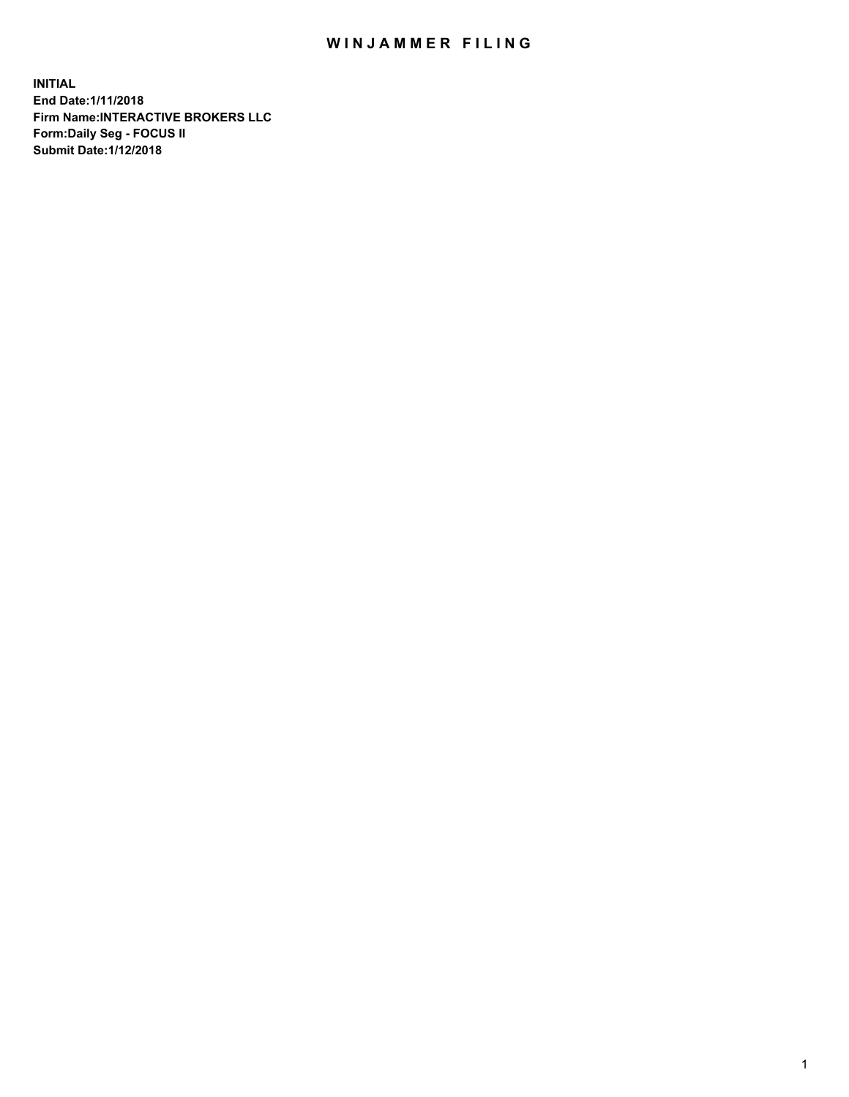## WIN JAMMER FILING

**INITIAL End Date:1/11/2018 Firm Name:INTERACTIVE BROKERS LLC Form:Daily Seg - FOCUS II Submit Date:1/12/2018**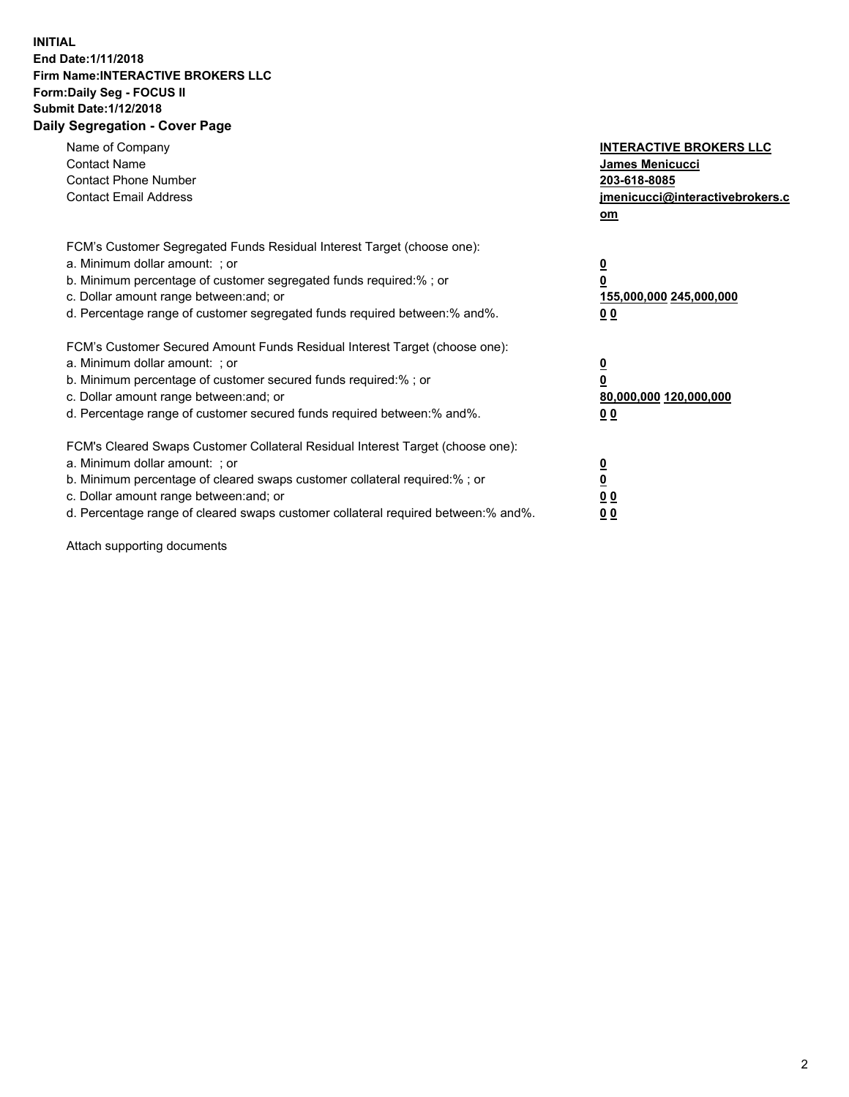## **INITIAL End Date:1/11/2018 Firm Name:INTERACTIVE BROKERS LLC Form:Daily Seg - FOCUS II Submit Date:1/12/2018 Daily Segregation - Cover Page**

| Name of Company<br><b>Contact Name</b><br><b>Contact Phone Number</b><br><b>Contact Email Address</b>                                                                                                                                                                                                                          | <b>INTERACTIVE BROKERS LLC</b><br><b>James Menicucci</b><br>203-618-8085<br>jmenicucci@interactivebrokers.c<br>om |
|--------------------------------------------------------------------------------------------------------------------------------------------------------------------------------------------------------------------------------------------------------------------------------------------------------------------------------|-------------------------------------------------------------------------------------------------------------------|
| FCM's Customer Segregated Funds Residual Interest Target (choose one):<br>a. Minimum dollar amount: ; or<br>b. Minimum percentage of customer segregated funds required:% ; or<br>c. Dollar amount range between: and; or<br>d. Percentage range of customer segregated funds required between: % and %.                       | $\overline{\mathbf{0}}$<br>0<br>155,000,000 245,000,000<br>00                                                     |
| FCM's Customer Secured Amount Funds Residual Interest Target (choose one):<br>a. Minimum dollar amount: ; or<br>b. Minimum percentage of customer secured funds required:%; or<br>c. Dollar amount range between: and; or<br>d. Percentage range of customer secured funds required between: % and %.                          | $\overline{\mathbf{0}}$<br>0<br>80,000,000 120,000,000<br>00                                                      |
| FCM's Cleared Swaps Customer Collateral Residual Interest Target (choose one):<br>a. Minimum dollar amount: ; or<br>b. Minimum percentage of cleared swaps customer collateral required:% ; or<br>c. Dollar amount range between: and; or<br>d. Percentage range of cleared swaps customer collateral required between:% and%. | $\overline{\mathbf{0}}$<br>$\overline{\mathbf{0}}$<br>00<br>0 <sub>0</sub>                                        |

Attach supporting documents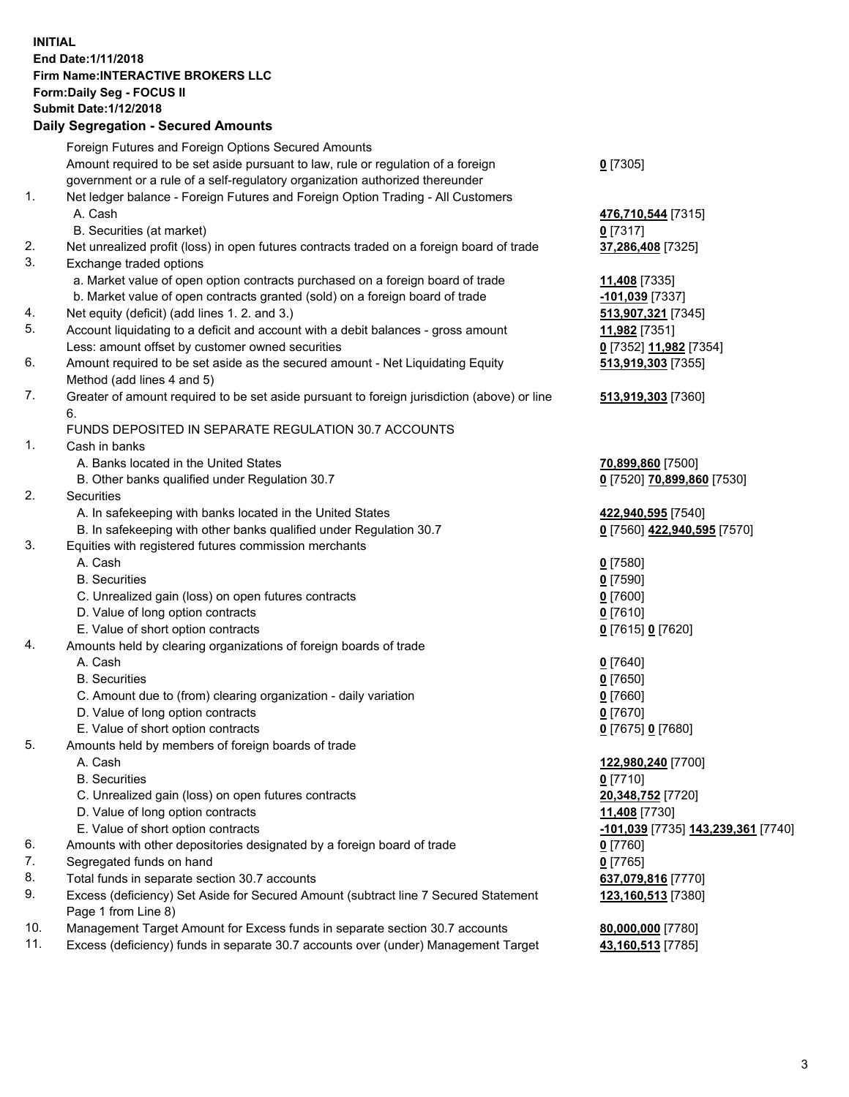## **INITIAL End Date:1/11/2018 Firm Name:INTERACTIVE BROKERS LLC Form:Daily Seg - FOCUS II Submit Date:1/12/2018 Daily Segregation - Secured Amounts**

|     | Daily Ocglegation - Occarea Anioants                                                                                            |                                    |
|-----|---------------------------------------------------------------------------------------------------------------------------------|------------------------------------|
|     | Foreign Futures and Foreign Options Secured Amounts                                                                             |                                    |
|     | Amount required to be set aside pursuant to law, rule or regulation of a foreign                                                | $0$ [7305]                         |
|     | government or a rule of a self-regulatory organization authorized thereunder                                                    |                                    |
| 1.  | Net ledger balance - Foreign Futures and Foreign Option Trading - All Customers                                                 |                                    |
|     | A. Cash                                                                                                                         | 476,710,544 [7315]                 |
|     | B. Securities (at market)                                                                                                       | $0$ [7317]                         |
| 2.  | Net unrealized profit (loss) in open futures contracts traded on a foreign board of trade                                       | 37,286,408 [7325]                  |
| 3.  | Exchange traded options                                                                                                         |                                    |
|     | a. Market value of open option contracts purchased on a foreign board of trade                                                  | 11,408 [7335]                      |
|     | b. Market value of open contracts granted (sold) on a foreign board of trade                                                    | $-101,039$ [7337]                  |
| 4.  | Net equity (deficit) (add lines 1.2. and 3.)                                                                                    | 513,907,321 [7345]                 |
| 5.  | Account liquidating to a deficit and account with a debit balances - gross amount                                               | 11,982 [7351]                      |
|     | Less: amount offset by customer owned securities                                                                                | 0 [7352] 11,982 [7354]             |
| 6.  | Amount required to be set aside as the secured amount - Net Liquidating Equity                                                  | 513,919,303 [7355]                 |
|     | Method (add lines 4 and 5)                                                                                                      |                                    |
| 7.  | Greater of amount required to be set aside pursuant to foreign jurisdiction (above) or line                                     | 513,919,303 [7360]                 |
|     | 6.<br>FUNDS DEPOSITED IN SEPARATE REGULATION 30.7 ACCOUNTS                                                                      |                                    |
| 1.  | Cash in banks                                                                                                                   |                                    |
|     |                                                                                                                                 |                                    |
|     | A. Banks located in the United States                                                                                           | 70,899,860 [7500]                  |
| 2.  | B. Other banks qualified under Regulation 30.7                                                                                  | 0 [7520] 70,899,860 [7530]         |
|     | Securities                                                                                                                      |                                    |
|     | A. In safekeeping with banks located in the United States<br>B. In safekeeping with other banks qualified under Regulation 30.7 | 422,940,595 [7540]                 |
| 3.  |                                                                                                                                 | 0 [7560] 422,940,595 [7570]        |
|     | Equities with registered futures commission merchants<br>A. Cash                                                                |                                    |
|     | <b>B.</b> Securities                                                                                                            | $0$ [7580]                         |
|     |                                                                                                                                 | $0$ [7590]                         |
|     | C. Unrealized gain (loss) on open futures contracts<br>D. Value of long option contracts                                        | $0$ [7600]                         |
|     | E. Value of short option contracts                                                                                              | $0$ [7610]                         |
| 4.  | Amounts held by clearing organizations of foreign boards of trade                                                               | 0 [7615] 0 [7620]                  |
|     | A. Cash                                                                                                                         |                                    |
|     | <b>B.</b> Securities                                                                                                            | $0$ [7640]<br>$0$ [7650]           |
|     | C. Amount due to (from) clearing organization - daily variation                                                                 | 0 [7660]                           |
|     | D. Value of long option contracts                                                                                               | $0$ [7670]                         |
|     | E. Value of short option contracts                                                                                              | 0 [7675] 0 [7680]                  |
| 5.  | Amounts held by members of foreign boards of trade                                                                              |                                    |
|     | A. Cash                                                                                                                         | 122,980,240 [7700]                 |
|     | <b>B.</b> Securities                                                                                                            | $0$ [7710]                         |
|     | C. Unrealized gain (loss) on open futures contracts                                                                             | 20,348,752 [7720]                  |
|     | D. Value of long option contracts                                                                                               | 11,408 [7730]                      |
|     | E. Value of short option contracts                                                                                              | -101,039 [7735] 143,239,361 [7740] |
| 6.  | Amounts with other depositories designated by a foreign board of trade                                                          | 0 [7760]                           |
| 7.  | Segregated funds on hand                                                                                                        | $0$ [7765]                         |
| 8.  | Total funds in separate section 30.7 accounts                                                                                   | 637,079,816 [7770]                 |
| 9.  | Excess (deficiency) Set Aside for Secured Amount (subtract line 7 Secured Statement                                             | 123,160,513 [7380]                 |
|     | Page 1 from Line 8)                                                                                                             |                                    |
| 10. | Management Target Amount for Excess funds in separate section 30.7 accounts                                                     | 80,000,000 [7780]                  |
| 11. | Excess (deficiency) funds in separate 30.7 accounts over (under) Management Target                                              | 43,160,513 [7785]                  |
|     |                                                                                                                                 |                                    |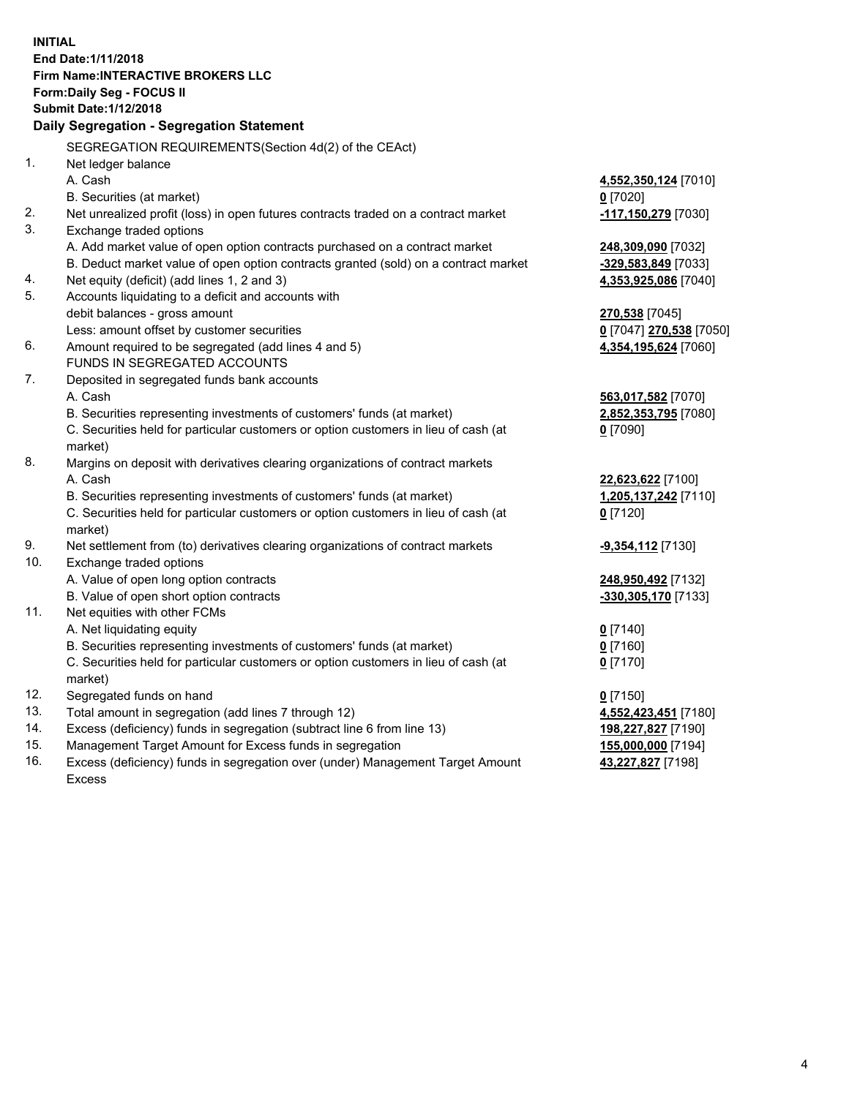**INITIAL End Date:1/11/2018 Firm Name:INTERACTIVE BROKERS LLC Form:Daily Seg - FOCUS II Submit Date:1/12/2018 Daily Segregation - Segregation Statement** SEGREGATION REQUIREMENTS(Section 4d(2) of the CEAct) 1. Net ledger balance A. Cash **4,552,350,124** [7010] B. Securities (at market) **0** [7020] 2. Net unrealized profit (loss) in open futures contracts traded on a contract market **-117,150,279** [7030] 3. Exchange traded options A. Add market value of open option contracts purchased on a contract market **248,309,090** [7032] B. Deduct market value of open option contracts granted (sold) on a contract market **-329,583,849** [7033] 4. Net equity (deficit) (add lines 1, 2 and 3) **4,353,925,086** [7040] 5. Accounts liquidating to a deficit and accounts with debit balances - gross amount **270,538** [7045] Less: amount offset by customer securities **0** [7047] **270,538** [7050] 6. Amount required to be segregated (add lines 4 and 5) **4,354,195,624** [7060] FUNDS IN SEGREGATED ACCOUNTS 7. Deposited in segregated funds bank accounts A. Cash **563,017,582** [7070] B. Securities representing investments of customers' funds (at market) **2,852,353,795** [7080] C. Securities held for particular customers or option customers in lieu of cash (at market) **0** [7090] 8. Margins on deposit with derivatives clearing organizations of contract markets A. Cash **22,623,622** [7100] B. Securities representing investments of customers' funds (at market) **1,205,137,242** [7110] C. Securities held for particular customers or option customers in lieu of cash (at market) **0** [7120] 9. Net settlement from (to) derivatives clearing organizations of contract markets **-9,354,112** [7130] 10. Exchange traded options A. Value of open long option contracts **248,950,492** [7132] B. Value of open short option contracts **-330,305,170** [7133] 11. Net equities with other FCMs A. Net liquidating equity **0** [7140] B. Securities representing investments of customers' funds (at market) **0** [7160] C. Securities held for particular customers or option customers in lieu of cash (at market) **0** [7170] 12. Segregated funds on hand **0** [7150] 13. Total amount in segregation (add lines 7 through 12) **4,552,423,451** [7180] 14. Excess (deficiency) funds in segregation (subtract line 6 from line 13) **198,227,827** [7190] 15. Management Target Amount for Excess funds in segregation **155,000,000** [7194] **43,227,827** [7198]

16. Excess (deficiency) funds in segregation over (under) Management Target Amount Excess